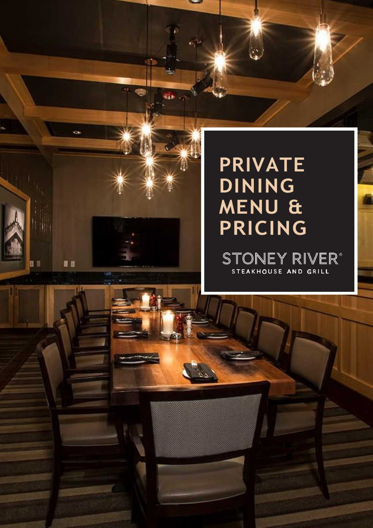## **PRIVATE DINING MENU & PRICING**

日目

HB

STONEY RIVER® STEAKHOUSE AND GRILL

٢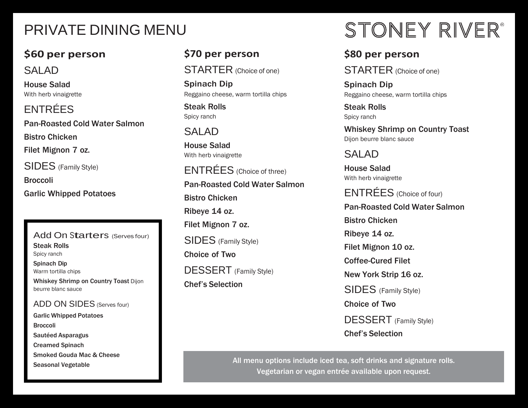## PRIVATE DINING MENU

### **\$60 per person**

#### SALAD

House Salad With herb vinaigrette

ENTRÉES Pan-Roasted Cold Water Salmon Bistro Chicken Filet Mignon 7 oz. SIDES (Family Style) Broccoli Garlic Whipped Potatoes

#### Add On Starters (Serves four) Steak Rolls Spicy ranch

Spinach Dip Warm tortilla chips Whiskey Shrimp on Country Toast Dijon beurre blanc sauce

#### ADD ON SIDES (Serves four)

Garlic Whipped Potatoes Broccoli Sautéed Asparagus Creamed Spinach Smoked Gouda Mac & Cheese Seasonal Vegetable

#### **\$70 per person**

STARTER (Choice of one)

Spinach Dip Reggaino cheese, warm tortilla chips

Steak Rolls Spicy ranch

### SALAD

House Salad With herb vinaigrette

ENTRÉES (Choice of three) Pan-Roasted Cold Water Salmon Bistro Chicken Ribeye 14 oz. Filet Mignon 7 oz. SIDES (Family Style) Choice of Two DESSERT (Family Style) Chef's Selection

# STONEY RIVER®

#### **\$80 per person**

STARTER (Choice of one)

Spinach Dip Reggaino cheese, warm tortilla chips

Steak Rolls Spicy ranch

Whiskey Shrimp on Country Toast Dijon beurre blanc sauce

SALAD

House Salad With herb vinaigrette

ENTRÉES (Choice of four) Pan-Roasted Cold Water Salmon Bistro Chicken Ribeye 14 oz. Filet Mignon 10 oz. Coffee-Cured Filet New York Strip 16 oz. SIDES (Family Style) Choice of Two DESSERT (Family Style) Chef's Selection

All menu options include iced tea, soft drinks and signature rolls. Vegetarian or vegan entrée available upon request.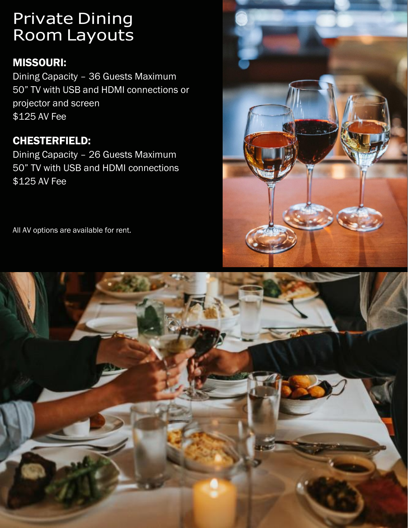### Private Dining Room Layouts

#### MISSOURI:

Dining Capacity – 36 Guests Maximum 50" TV with USB and HDMI connections or projector and screen \$125 AV Fee

#### CHESTERFIELD:

Dining Capacity – 26 Guests Maximum 50" TV with USB and HDMI connections \$125 AV Fee



All AV options are available for rent.

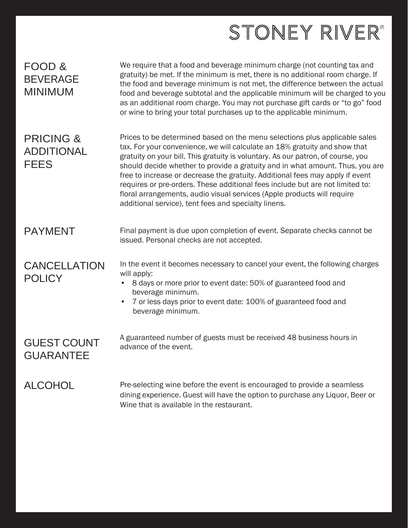## STONEY RIVER®

| FOOD &<br><b>BEVERAGE</b><br><b>MINIMUM</b>              | We require that a food and beverage minimum charge (not counting tax and<br>gratuity) be met. If the minimum is met, there is no additional room charge. If<br>the food and beverage minimum is not met, the difference between the actual<br>food and beverage subtotal and the applicable minimum will be charged to you<br>as an additional room charge. You may not purchase gift cards or "to go" food<br>or wine to bring your total purchases up to the applicable minimum.                                                                                                                                                 |
|----------------------------------------------------------|------------------------------------------------------------------------------------------------------------------------------------------------------------------------------------------------------------------------------------------------------------------------------------------------------------------------------------------------------------------------------------------------------------------------------------------------------------------------------------------------------------------------------------------------------------------------------------------------------------------------------------|
| <b>PRICING &amp;</b><br><b>ADDITIONAL</b><br><b>FEES</b> | Prices to be determined based on the menu selections plus applicable sales<br>tax. For your convenience, we will calculate an 18% gratuity and show that<br>gratuity on your bill. This gratuity is voluntary. As our patron, of course, you<br>should decide whether to provide a gratuity and in what amount. Thus, you are<br>free to increase or decrease the gratuity. Additional fees may apply if event<br>requires or pre-orders. These additional fees include but are not limited to:<br>floral arrangements, audio visual services (Apple products will require<br>additional service), tent fees and specialty linens. |
| <b>PAYMENT</b>                                           | Final payment is due upon completion of event. Separate checks cannot be<br>issued. Personal checks are not accepted.                                                                                                                                                                                                                                                                                                                                                                                                                                                                                                              |
| <b>CANCELLATION</b><br><b>POLICY</b>                     | In the event it becomes necessary to cancel your event, the following charges<br>will apply:<br>8 days or more prior to event date: 50% of guaranteed food and<br>beverage minimum.<br>7 or less days prior to event date: 100% of guaranteed food and<br>$\bullet$<br>beverage minimum.                                                                                                                                                                                                                                                                                                                                           |
| <b>GUEST COUNT</b><br><b>GUARANTEE</b>                   | A guaranteed number of guests must be received 48 business hours in<br>advance of the event.                                                                                                                                                                                                                                                                                                                                                                                                                                                                                                                                       |
| <b>ALCOHOL</b>                                           | Pre-selecting wine before the event is encouraged to provide a seamless<br>dining experience. Guest will have the option to purchase any Liquor, Beer or<br>Wine that is available in the restaurant.                                                                                                                                                                                                                                                                                                                                                                                                                              |